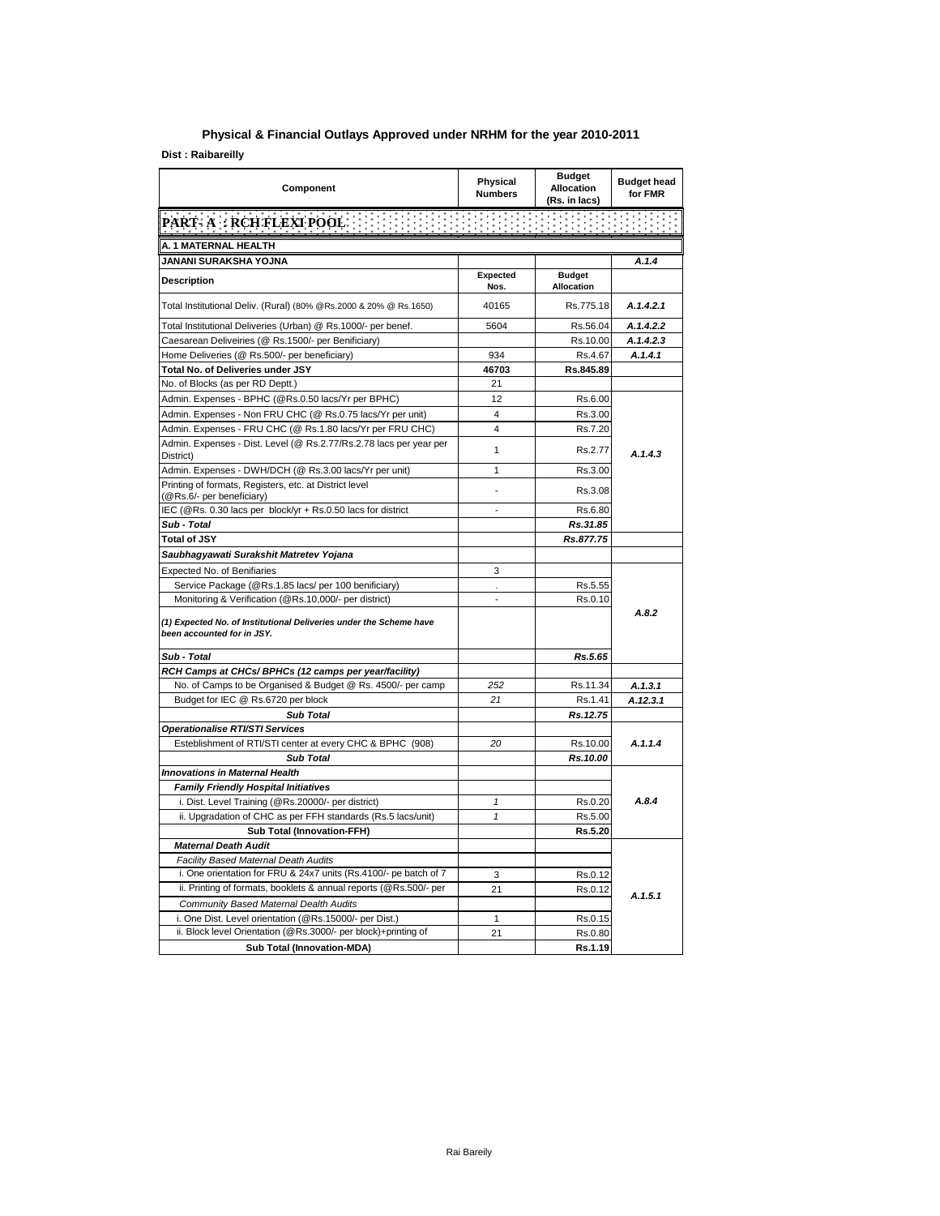## **Physical & Financial Outlays Approved under NRHM for the year 2010-2011**

**Dist : Raibareilly**

| Component                                                                                        | <b>Physical</b><br><b>Numbers</b> | <b>Budget</b><br><b>Allocation</b><br>(Rs. in lacs) | <b>Budget head</b><br>for FMR |
|--------------------------------------------------------------------------------------------------|-----------------------------------|-----------------------------------------------------|-------------------------------|
| <b>PART- A: RCH FLEXI POOL</b>                                                                   |                                   |                                                     |                               |
| A. 1 MATERNAL HEALTH                                                                             |                                   |                                                     |                               |
| JANANI SURAKSHA YOJNA                                                                            |                                   |                                                     | A.1.4                         |
| Description                                                                                      | Expected<br>Nos.                  | <b>Budget</b><br>Allocation                         |                               |
| Total Institutional Deliv. (Rural) (80% @Rs.2000 & 20% @ Rs.1650)                                | 40165                             | Rs.775.18                                           | A.1.4.2.1                     |
| Total Institutional Deliveries (Urban) @ Rs.1000/- per benef.                                    | 5604                              | Rs.56.04                                            | A.1.4.2.2                     |
| Caesarean Deliveiries (@ Rs.1500/- per Benificiary)                                              |                                   | Rs.10.00                                            | A.1.4.2.3                     |
| Home Deliveries (@ Rs.500/- per beneficiary)                                                     | 934                               | Rs.4.67                                             | A.1.4.1                       |
| Total No. of Deliveries under JSY                                                                | 46703                             | Rs.845.89                                           |                               |
| No. of Blocks (as per RD Deptt.)                                                                 | 21                                |                                                     |                               |
| Admin. Expenses - BPHC (@Rs.0.50 lacs/Yr per BPHC)                                               | 12                                | Rs.6.00                                             |                               |
| Admin. Expenses - Non FRU CHC (@ Rs.0.75 lacs/Yr per unit)                                       | $\overline{4}$                    | Rs.3.00                                             |                               |
| Admin. Expenses - FRU CHC (@ Rs.1.80 lacs/Yr per FRU CHC)                                        | $\overline{\mathbf{4}}$           | Rs.7.20                                             |                               |
| Admin. Expenses - Dist. Level (@ Rs.2.77/Rs.2.78 lacs per year per<br>District)                  | 1                                 | Rs.2.77                                             | A.1.4.3                       |
| Admin. Expenses - DWH/DCH (@ Rs.3.00 lacs/Yr per unit)                                           | 1                                 | Rs.3.00                                             |                               |
| Printing of formats, Registers, etc. at District level<br>(@Rs.6/- per beneficiary)              |                                   | Rs.3.08                                             |                               |
| IEC (@Rs. 0.30 lacs per block/yr + Rs.0.50 lacs for district                                     | $\overline{a}$                    | Rs.6.80                                             |                               |
| Sub - Total                                                                                      |                                   | Rs.31.85                                            |                               |
| <b>Total of JSY</b>                                                                              |                                   | Rs.877.75                                           |                               |
| Saubhagyawati Surakshit Matretev Yojana                                                          |                                   |                                                     |                               |
| Expected No. of Benifiaries                                                                      | 3                                 |                                                     |                               |
| Service Package (@Rs.1.85 lacs/ per 100 benificiary)                                             | ä,                                | Rs.5.55                                             |                               |
| Monitoring & Verification (@Rs.10,000/- per district)                                            | $\overline{a}$                    | Rs.0.10                                             |                               |
| (1) Expected No. of Institutional Deliveries under the Scheme have<br>been accounted for in JSY. |                                   |                                                     | A.8.2                         |
| Sub - Total                                                                                      |                                   | Rs.5.65                                             |                               |
| RCH Camps at CHCs/ BPHCs (12 camps per year/facility)                                            |                                   |                                                     |                               |
| No. of Camps to be Organised & Budget @ Rs. 4500/- per camp                                      | 252                               | Rs.11.34                                            | A.1.3.1                       |
| Budget for IEC @ Rs.6720 per block                                                               | 21                                | Rs.1.41                                             | A.12.3.1                      |
| <b>Sub Total</b>                                                                                 |                                   | Rs.12.75                                            |                               |
| Operationalise RTI/STI Services                                                                  |                                   |                                                     |                               |
| Esteblishment of RTI/STI center at every CHC & BPHC (908)                                        | 20                                | Rs.10.00                                            | A.1.1.4                       |
| <b>Sub Total</b>                                                                                 |                                   | Rs.10.00                                            |                               |
| <b>Innovations in Maternal Health</b>                                                            |                                   |                                                     |                               |
| <b>Family Friendly Hospital Initiatives</b>                                                      |                                   |                                                     |                               |
| i. Dist. Level Training (@Rs.20000/- per district)                                               | $\mathbf{1}$                      | Rs.0.20                                             | A.8.4                         |
| ii. Upgradation of CHC as per FFH standards (Rs.5 lacs/unit)                                     | $\mathbf{1}$                      | Rs.5.00                                             |                               |
| <b>Sub Total (Innovation-FFH)</b>                                                                |                                   | Rs.5.20                                             |                               |
| <b>Maternal Death Audit</b>                                                                      |                                   |                                                     |                               |
| Facility Based Maternal Death Audits                                                             |                                   |                                                     |                               |
| i. One orientation for FRU & 24x7 units (Rs.4100/- pe batch of 7                                 | 3                                 | Rs.0.12                                             |                               |
| ii. Printing of formats, booklets & annual reports (@Rs.500/- per                                | 21                                | Rs.0.12                                             |                               |
| Community Based Maternal Dealth Audits                                                           |                                   |                                                     | A.1.5.1                       |
| i. One Dist. Level orientation (@Rs.15000/- per Dist.)                                           | $\mathbf{1}$                      | Rs.0.15                                             |                               |
| ii. Block level Orientation (@Rs.3000/- per block)+printing of                                   | 21                                | Rs.0.80                                             |                               |
| <b>Sub Total (Innovation-MDA)</b>                                                                |                                   | Rs.1.19                                             |                               |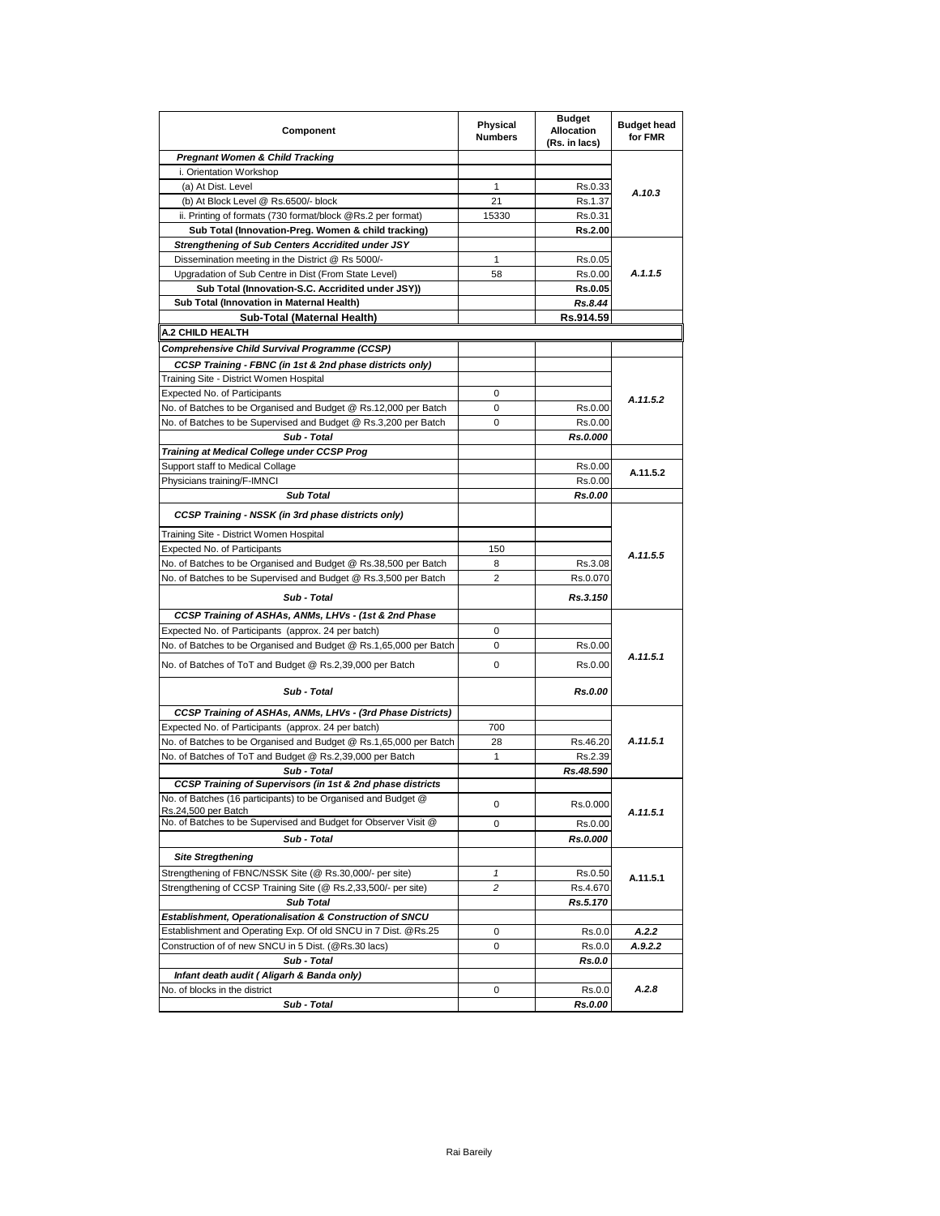| Component                                                                            | Physical<br><b>Numbers</b> | <b>Budget</b><br><b>Allocation</b><br>(Rs. in lacs) | <b>Budget head</b><br>for FMR |
|--------------------------------------------------------------------------------------|----------------------------|-----------------------------------------------------|-------------------------------|
| <b>Pregnant Women &amp; Child Tracking</b>                                           |                            |                                                     |                               |
| i. Orientation Workshop                                                              |                            |                                                     |                               |
| (a) At Dist. Level                                                                   | $\mathbf{1}$               | Rs.0.33                                             | A.10.3                        |
| (b) At Block Level @ Rs.6500/- block                                                 | 21                         | Rs.1.37                                             |                               |
| ii. Printing of formats (730 format/block @Rs.2 per format)                          | 15330                      | Rs.0.31                                             |                               |
| Sub Total (Innovation-Preg. Women & child tracking)                                  |                            | Rs.2.00                                             |                               |
| <b>Strengthening of Sub Centers Accridited under JSY</b>                             |                            |                                                     |                               |
| Dissemination meeting in the District @ Rs 5000/-                                    | 1                          | Rs.0.05                                             |                               |
| Upgradation of Sub Centre in Dist (From State Level)                                 | 58                         | Rs.0.00                                             | A.1.1.5                       |
| Sub Total (Innovation-S.C. Accridited under JSY))                                    |                            | <b>Rs.0.05</b>                                      |                               |
| Sub Total (Innovation in Maternal Health)                                            |                            | Rs.8.44                                             |                               |
| Sub-Total (Maternal Health)                                                          |                            | Rs.914.59                                           |                               |
| A.2 CHILD HEALTH                                                                     |                            |                                                     |                               |
| Comprehensive Child Survival Programme (CCSP)                                        |                            |                                                     |                               |
| CCSP Training - FBNC (in 1st & 2nd phase districts only)                             |                            |                                                     |                               |
| Training Site - District Women Hospital                                              |                            |                                                     |                               |
| Expected No. of Participants                                                         | $\mathbf 0$                |                                                     | A.11.5.2                      |
| No. of Batches to be Organised and Budget @ Rs.12,000 per Batch                      | 0                          | Rs.0.00                                             |                               |
| No. of Batches to be Supervised and Budget @ Rs.3,200 per Batch                      | 0                          | Rs.0.00                                             |                               |
| Sub - Total                                                                          |                            | Rs.0.000                                            |                               |
| Training at Medical College under CCSP Prog                                          |                            |                                                     |                               |
| Support staff to Medical Collage                                                     |                            | Rs.0.00                                             | A.11.5.2                      |
| Physicians training/F-IMNCI                                                          |                            | Rs.0.00                                             |                               |
| <b>Sub Total</b>                                                                     |                            | Rs.0.00                                             |                               |
| <b>CCSP Training - NSSK (in 3rd phase districts only)</b>                            |                            |                                                     |                               |
| Training Site - District Women Hospital                                              |                            |                                                     |                               |
| Expected No. of Participants                                                         | 150                        |                                                     | A.11.5.5                      |
| No. of Batches to be Organised and Budget @ Rs.38,500 per Batch                      | 8                          | Rs.3.08                                             |                               |
| No. of Batches to be Supervised and Budget @ Rs.3,500 per Batch<br>Sub - Total       | $\overline{2}$             | Rs.0.070<br>Rs.3.150                                |                               |
|                                                                                      |                            |                                                     |                               |
| CCSP Training of ASHAs, ANMs, LHVs - (1st & 2nd Phase                                |                            |                                                     |                               |
| Expected No. of Participants (approx. 24 per batch)                                  | 0                          |                                                     |                               |
| No. of Batches to be Organised and Budget @ Rs.1,65,000 per Batch                    | 0                          | Rs.0.00                                             |                               |
| No. of Batches of ToT and Budget @ Rs.2,39,000 per Batch                             | 0                          | Rs.0.00                                             | A.11.5.1                      |
| Sub - Total                                                                          |                            | Rs.0.00                                             |                               |
| CCSP Training of ASHAs, ANMs, LHVs - (3rd Phase Districts)                           |                            |                                                     |                               |
| Expected No. of Participants (approx. 24 per batch)                                  | 700                        |                                                     |                               |
| No. of Batches to be Organised and Budget @ Rs.1,65,000 per Batch                    | 28                         | Rs.46.20                                            | A.11.5.1                      |
| No. of Batches of ToT and Budget @ Rs.2,39,000 per Batch                             | $\mathbf{1}$               | Rs.2.39                                             |                               |
| Sub - Total                                                                          |                            | Rs.48.590                                           |                               |
| CCSP Training of Supervisors (in 1st & 2nd phase districts                           |                            |                                                     |                               |
| No. or Batches (16 participants) to be Organised and Budget @<br>Rs.24,500 per Batch | 0                          | Rs.0.000                                            | A.11.5.1                      |
| No. of Batches to be Supervised and Budget for Observer Visit @                      | 0                          | Rs.0.00                                             |                               |
| Sub - Total                                                                          |                            | Rs.0.000                                            |                               |
| <b>Site Stregthening</b>                                                             |                            |                                                     |                               |
| Strengthening of FBNC/NSSK Site (@ Rs.30,000/- per site)                             | $\mathbf{1}$               | Rs.0.50                                             |                               |
| Strengthening of CCSP Training Site (@ Rs.2,33,500/- per site)                       | 2                          | Rs.4.670                                            | A.11.5.1                      |
| <b>Sub Total</b>                                                                     |                            | Rs.5.170                                            |                               |
| Establishment, Operationalisation & Construction of SNCU                             |                            |                                                     |                               |
| Establishment and Operating Exp. Of old SNCU in 7 Dist. @Rs.25                       | 0                          | Rs.0.0                                              | A.2.2                         |
| Construction of of new SNCU in 5 Dist. (@Rs.30 lacs)                                 | 0                          | Rs.0.0                                              | A.9.2.2                       |
| Sub - Total                                                                          |                            | Rs.0.0                                              |                               |
| Infant death audit (Aligarh & Banda only)                                            |                            |                                                     |                               |
| No. of blocks in the district                                                        | 0                          | Rs.0.0                                              | A.2.8                         |
| Sub - Total                                                                          |                            | Rs.0.00                                             |                               |
|                                                                                      |                            |                                                     |                               |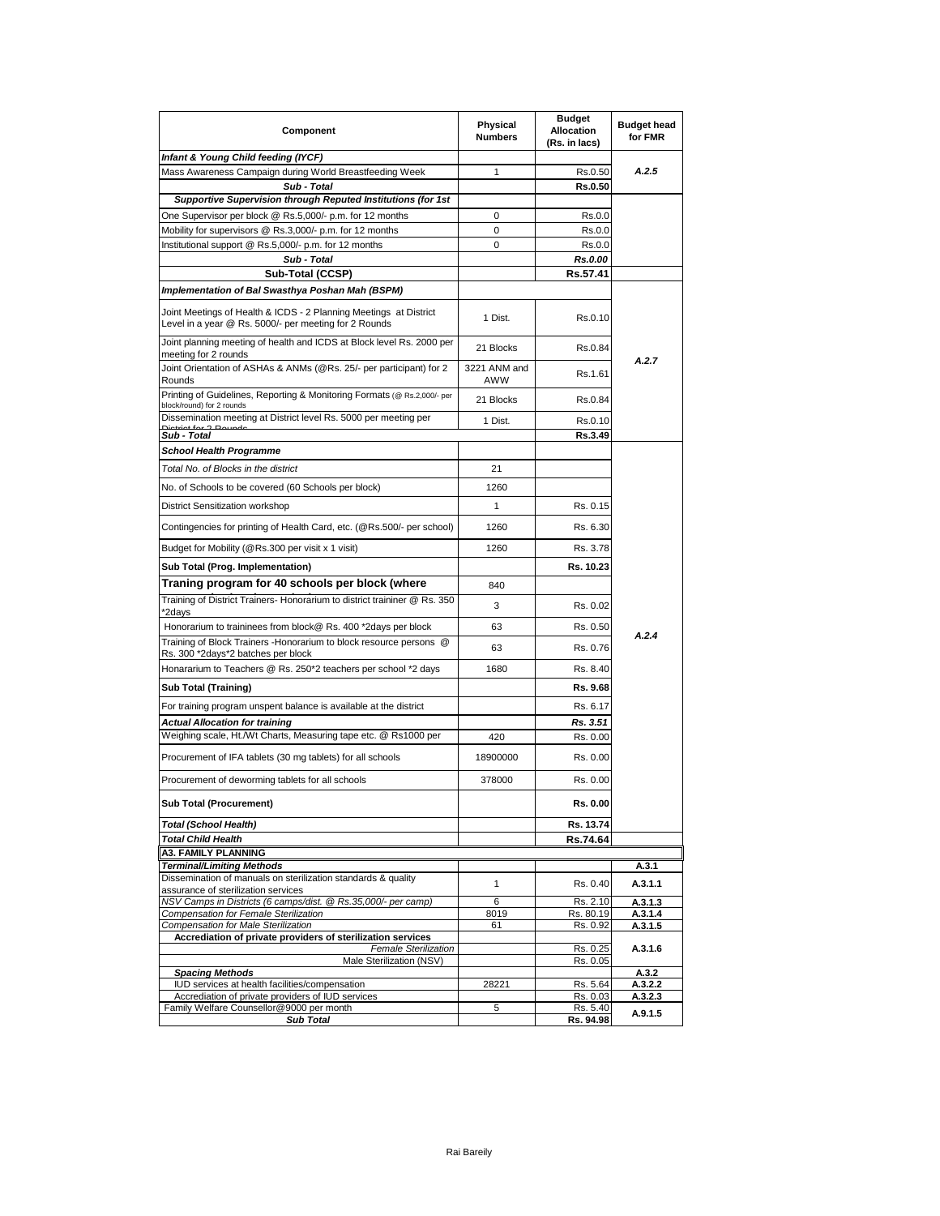| Component                                                                                                             | Physical<br><b>Numbers</b> | <b>Budget</b><br><b>Allocation</b><br>(Rs. in lacs) | <b>Budget head</b><br>for FMR |
|-----------------------------------------------------------------------------------------------------------------------|----------------------------|-----------------------------------------------------|-------------------------------|
| Infant & Young Child feeding (IYCF)                                                                                   |                            |                                                     |                               |
| Mass Awareness Campaign during World Breastfeeding Week                                                               | 1                          | Rs.0.50                                             | A.2.5                         |
| Sub - Total                                                                                                           |                            | Rs.0.50                                             |                               |
| Supportive Supervision through Reputed Institutions (for 1st                                                          |                            |                                                     |                               |
| One Supervisor per block @ Rs.5,000/- p.m. for 12 months                                                              | 0                          | Rs.0.0                                              |                               |
| Mobility for supervisors @ Rs.3,000/- p.m. for 12 months                                                              | 0                          | Rs.0.0                                              |                               |
| Institutional support @ Rs.5,000/- p.m. for 12 months                                                                 | 0                          | Rs.0.0                                              |                               |
| Sub - Total                                                                                                           |                            | Rs.0.00                                             |                               |
| Sub-Total (CCSP)                                                                                                      |                            | Rs.57.41                                            |                               |
| Implementation of Bal Swasthya Poshan Mah (BSPM)<br>Joint Meetings of Health & ICDS - 2 Planning Meetings at District | 1 Dist.                    | Rs.0.10                                             |                               |
| Level in a year @ Rs. 5000/- per meeting for 2 Rounds                                                                 |                            |                                                     |                               |
| Joint planning meeting of health and ICDS at Block level Rs. 2000 per<br>meeting for 2 rounds                         | 21 Blocks                  | Rs.0.84                                             | A.2.7                         |
| Joint Orientation of ASHAs & ANMs (@Rs. 25/- per participant) for 2<br>Rounds                                         | 3221 ANM and<br>AWW        | Rs.1.61                                             |                               |
| Printing of Guidelines, Reporting & Monitoring Formats (@ Rs.2,000/- per<br>block/round) for 2 rounds                 | 21 Blocks                  | Rs.0.84                                             |                               |
| Dissemination meeting at District level Rs. 5000 per meeting per                                                      | 1 Dist.                    | Rs.0.10                                             |                               |
| Sub - Total                                                                                                           |                            | Rs.3.49                                             |                               |
| School Health Programme                                                                                               |                            |                                                     |                               |
| Total No. of Blocks in the district                                                                                   | 21                         |                                                     |                               |
| No. of Schools to be covered (60 Schools per block)                                                                   | 1260                       |                                                     |                               |
| District Sensitization workshop                                                                                       | 1                          | Rs. 0.15                                            |                               |
| Contingencies for printing of Health Card, etc. (@Rs.500/- per school)                                                | 1260                       | Rs. 6.30                                            |                               |
| Budget for Mobility (@Rs.300 per visit x 1 visit)                                                                     | 1260                       | Rs. 3.78                                            |                               |
| Sub Total (Prog. Implementation)                                                                                      |                            | Rs. 10.23                                           |                               |
| Traning program for 40 schools per block (where                                                                       | 840                        |                                                     |                               |
| Training of District Trainers- Honorarium to district traininer @ Rs. 350<br>2days                                    | 3                          | Rs. 0.02                                            |                               |
| Honorarium to traininees from block@ Rs. 400 *2days per block                                                         | 63                         | Rs. 0.50                                            |                               |
| Training of Block Trainers -Honorarium to block resource persons @<br>Rs. 300 *2days*2 batches per block              | 63                         | Rs. 0.76                                            | A.2.4                         |
| Honararium to Teachers @ Rs. 250*2 teachers per school *2 days                                                        | 1680                       | Rs. 8.40                                            |                               |
| Sub Total (Training)                                                                                                  |                            | Rs. 9.68                                            |                               |
|                                                                                                                       |                            | Rs. 6.17                                            |                               |
| For training program unspent balance is available at the district                                                     |                            |                                                     |                               |
| <b>Actual Allocation for training</b><br>Weighing scale, Ht./Wt Charts, Measuring tape etc. @ Rs1000 per              |                            | Rs. 3.51                                            |                               |
| Procurement of IFA tablets (30 mg tablets) for all schools                                                            | 420<br>18900000            | Rs. 0.00<br>Rs. 0.00                                |                               |
| Procurement of deworming tablets for all schools                                                                      | 378000                     | Rs. 0.00                                            |                               |
| <b>Sub Total (Procurement)</b>                                                                                        |                            | Rs. 0.00                                            |                               |
| <b>Total (School Health)</b>                                                                                          |                            | Rs. 13.74                                           |                               |
| <b>Total Child Health</b>                                                                                             |                            | Rs.74.64                                            |                               |
| A3. FAMILY PLANNING                                                                                                   |                            |                                                     |                               |
| Terminal/Limiting Methods                                                                                             |                            |                                                     | A.3.1                         |
| Dissemination of manuals on sterilization standards & quality<br>assurance of sterilization services                  | 1                          | Rs. 0.40                                            | A.3.1.1                       |
| NSV Camps in Districts (6 camps/dist. @ Rs.35,000/- per camp)<br>Compensation for Female Sterilization                | 6<br>8019                  | Rs. 2.10<br>Rs. 80.19                               | A.3.1.3<br>A.3.1.4            |
| Compensation for Male Sterilization                                                                                   | 61                         | Rs. 0.92                                            | A.3.1.5                       |
| Accrediation of private providers of sterilization services<br>Female Sterilization                                   |                            | Rs. 0.25                                            | A.3.1.6                       |
| Male Sterilization (NSV)                                                                                              |                            | Rs. 0.05                                            |                               |
| <b>Spacing Methods</b>                                                                                                |                            |                                                     | A.3.2                         |
| IUD services at health facilities/compensation<br>Accrediation of private providers of IUD services                   | 28221                      | Rs. 5.64<br>Rs. 0.03                                | A.3.2.2<br>A.3.2.3            |
| Family Welfare Counsellor@9000 per month                                                                              | 5                          | Rs. 5.40                                            |                               |
| <b>Sub Total</b>                                                                                                      |                            | <u>Rs. 94.98</u>                                    | A.9.1.5                       |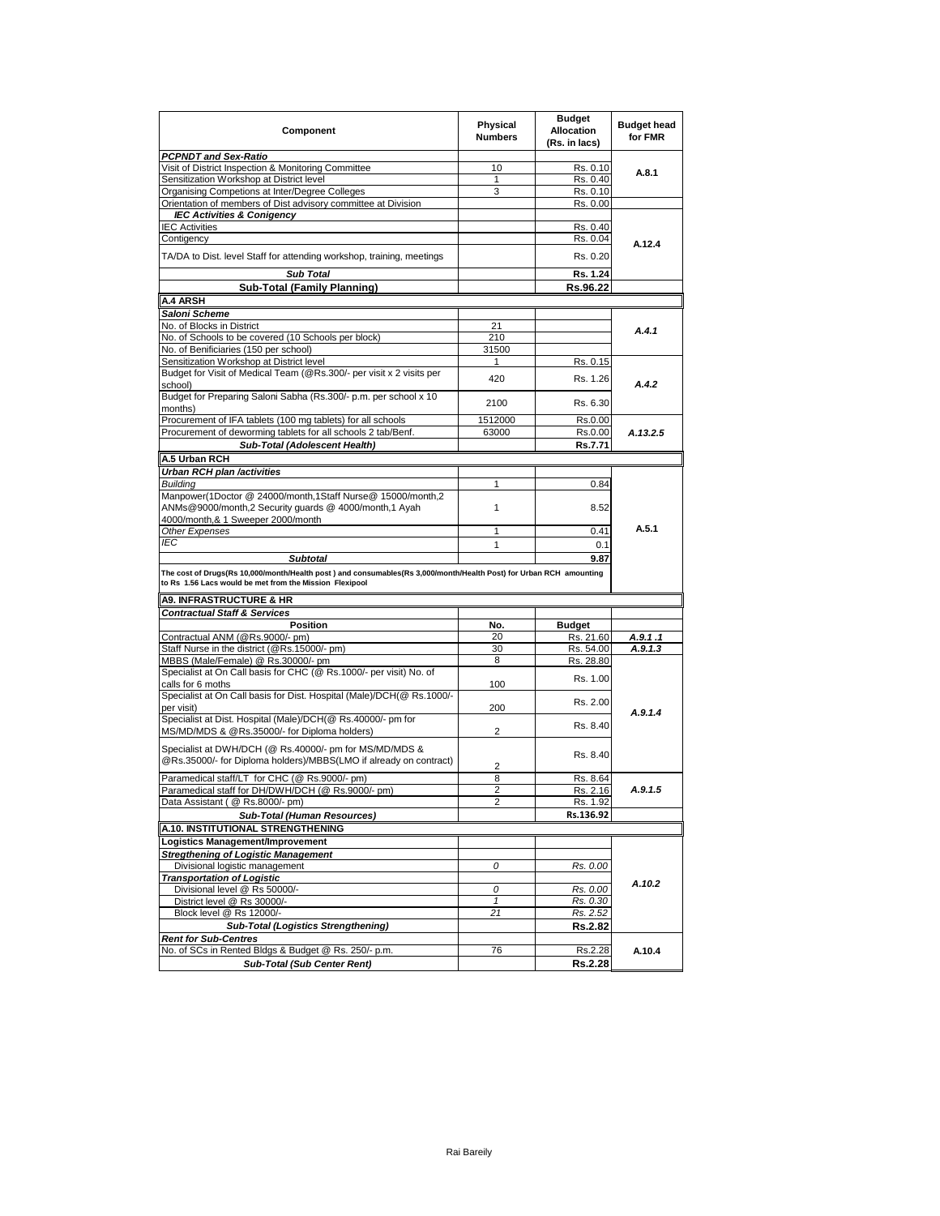| Component                                                                                                           | Physical<br><b>Numbers</b> | <b>Budget</b><br><b>Allocation</b><br>(Rs. in lacs) | <b>Budget head</b><br>for FMR |
|---------------------------------------------------------------------------------------------------------------------|----------------------------|-----------------------------------------------------|-------------------------------|
| <b>PCPNDT and Sex-Ratio</b>                                                                                         |                            |                                                     |                               |
| Visit of District Inspection & Monitoring Committee                                                                 | 10                         | Rs. 0.10                                            | A.8.1                         |
| Sensitization Workshop at District level                                                                            | 1                          | Rs. 0.40                                            |                               |
| Organising Competions at Inter/Degree Colleges                                                                      | 3                          | Rs. 0.10                                            |                               |
| Orientation of members of Dist advisory committee at Division                                                       |                            | Rs. 0.00                                            |                               |
| <b>IEC Activities &amp; Conigency</b>                                                                               |                            |                                                     |                               |
| <b>IEC Activities</b>                                                                                               |                            | Rs. 0.40                                            |                               |
| Contigency                                                                                                          |                            | Rs. 0.04                                            | A.12.4                        |
| TA/DA to Dist. level Staff for attending workshop, training, meetings                                               |                            | Rs. 0.20                                            |                               |
| <b>Sub Total</b>                                                                                                    |                            | Rs. 1.24                                            |                               |
| <b>Sub-Total (Family Planning)</b>                                                                                  |                            | Rs.96.22                                            |                               |
| A.4 ARSH                                                                                                            |                            |                                                     |                               |
| Saloni Scheme                                                                                                       |                            |                                                     |                               |
| No. of Blocks in District                                                                                           | 21                         |                                                     |                               |
| No. of Schools to be covered (10 Schools per block)                                                                 | 210                        |                                                     | A.4.1                         |
| No. of Benificiaries (150 per school)                                                                               | 31500                      |                                                     |                               |
| Sensitization Workshop at District level                                                                            | 1                          | Rs. 0.15                                            |                               |
| Budget for Visit of Medical Team (@Rs.300/- per visit x 2 visits per                                                |                            |                                                     |                               |
| school)                                                                                                             | 420                        | Rs. 1.26                                            | A.4.2                         |
| Budget for Preparing Saloni Sabha (Rs.300/- p.m. per school x 10<br>months)                                         | 2100                       | Rs. 6.30                                            |                               |
| Procurement of IFA tablets (100 mg tablets) for all schools                                                         | 1512000                    | Rs.0.00                                             |                               |
| Procurement of deworming tablets for all schools 2 tab/Benf.                                                        | 63000                      | Rs.0.00                                             | A.13.2.5                      |
|                                                                                                                     |                            | Rs.7.71                                             |                               |
| Sub-Total (Adolescent Health)                                                                                       |                            |                                                     |                               |
| A.5 Urban RCH                                                                                                       |                            |                                                     |                               |
| Urban RCH plan /activities                                                                                          |                            |                                                     |                               |
| Buildina                                                                                                            | 1                          | 0.84                                                |                               |
| Manpower(1Doctor @ 24000/month,1Staff Nurse@ 15000/month,2                                                          |                            |                                                     |                               |
| ANMs@9000/month,2 Security quards @ 4000/month,1 Ayah                                                               | 1                          | 8.52                                                |                               |
| 4000/month,& 1 Sweeper 2000/month                                                                                   |                            |                                                     |                               |
| Other Expenses                                                                                                      | 1                          | 0.41                                                | A.5.1                         |
| IEC                                                                                                                 | 1                          | 0.1                                                 |                               |
| <b>Subtotal</b>                                                                                                     |                            | 9.87                                                |                               |
| The cost of Drugs(Rs 10,000/month/Health post ) and consumables(Rs 3,000/month/Health Post) for Urban RCH amounting |                            |                                                     |                               |
| to Rs 1.56 Lacs would be met from the Mission Flexipool                                                             |                            |                                                     |                               |
| <b>A9. INFRASTRUCTURE &amp; HR</b>                                                                                  |                            |                                                     |                               |
| <b>Contractual Staff &amp; Services</b>                                                                             |                            |                                                     |                               |
| <b>Position</b>                                                                                                     | No.                        | <b>Budget</b>                                       |                               |
| Contractual ANM (@Rs.9000/- pm)                                                                                     | 20                         | Rs. 21.60                                           | A.9.1.1                       |
| Staff Nurse in the district (@Rs.15000/- pm)                                                                        | 30                         | Rs. 54.00                                           | A.9.1.3                       |
| MBBS (Male/Female) @ Rs.30000/- pm                                                                                  | 8                          | Rs. 28.80                                           |                               |
| Specialist at On Call basis for CHC (@ Rs.1000/- per visit) No. of                                                  |                            | Rs. 1.00                                            |                               |
| calls for 6 moths                                                                                                   | 100                        |                                                     |                               |
| Specialist at On Call basis for Dist. Hospital (Male)/DCH(@ Rs.1000/-                                               |                            | Rs. 2.00                                            |                               |
| per visit)                                                                                                          | 200                        |                                                     | A.9.1.4                       |
| Specialist at Dist. Hospital (Male)/DCH(@ Rs.40000/- pm for<br>MS/MD/MDS & @Rs.35000/- for Diploma holders)         | 2                          | Rs. 8.40                                            |                               |
|                                                                                                                     |                            |                                                     |                               |
| Specialist at DWH/DCH (@ Rs.40000/- pm for MS/MD/MDS &                                                              |                            | Rs. 8.40                                            |                               |
| @Rs.35000/- for Diploma holders)/MBBS(LMO if already on contract)                                                   |                            |                                                     |                               |
| Paramedical staff/LT for CHC (@ Rs.9000/- pm)                                                                       | 2                          |                                                     |                               |
|                                                                                                                     | 8                          | Rs. 8.64                                            |                               |
| Paramedical staff for DH/DWH/DCH (@ Rs.9000/- pm)                                                                   | $\overline{2}$             | Rs. 2.16                                            | A.9.1.5                       |
| Data Assistant (@ Rs.8000/- pm)                                                                                     | 2                          | Rs. 1.92                                            |                               |
| Sub-Total (Human Resources)                                                                                         |                            | Rs.136.92                                           |                               |
| A.10. INSTITUTIONAL STRENGTHENING                                                                                   |                            |                                                     |                               |
| Logistics Management/Improvement                                                                                    |                            |                                                     |                               |
| <b>Stregthening of Logistic Management</b>                                                                          |                            |                                                     |                               |
| Divisional logistic management                                                                                      | 0                          | Rs. 0.00                                            |                               |
| <b>Transportation of Logistic</b>                                                                                   |                            |                                                     |                               |
| Divisional level @ Rs 50000/-                                                                                       | 0                          | Rs. 0.00                                            | A.10.2                        |
| District level @ Rs 30000/-                                                                                         | $\mathbf{1}$               | Rs. 0.30                                            |                               |
| Block level @ Rs 12000/-                                                                                            | 21                         | Rs. 2.52                                            |                               |
| <b>Sub-Total (Logistics Strengthening)</b>                                                                          |                            | Rs.2.82                                             |                               |
|                                                                                                                     |                            |                                                     |                               |
| <b>Rent for Sub-Centres</b>                                                                                         |                            |                                                     |                               |
| No. of SCs in Rented Bldgs & Budget @ Rs. 250/- p.m.                                                                | 76                         | Rs.2.28                                             | A.10.4                        |
| Sub-Total (Sub Center Rent)                                                                                         |                            | Rs.2.28                                             |                               |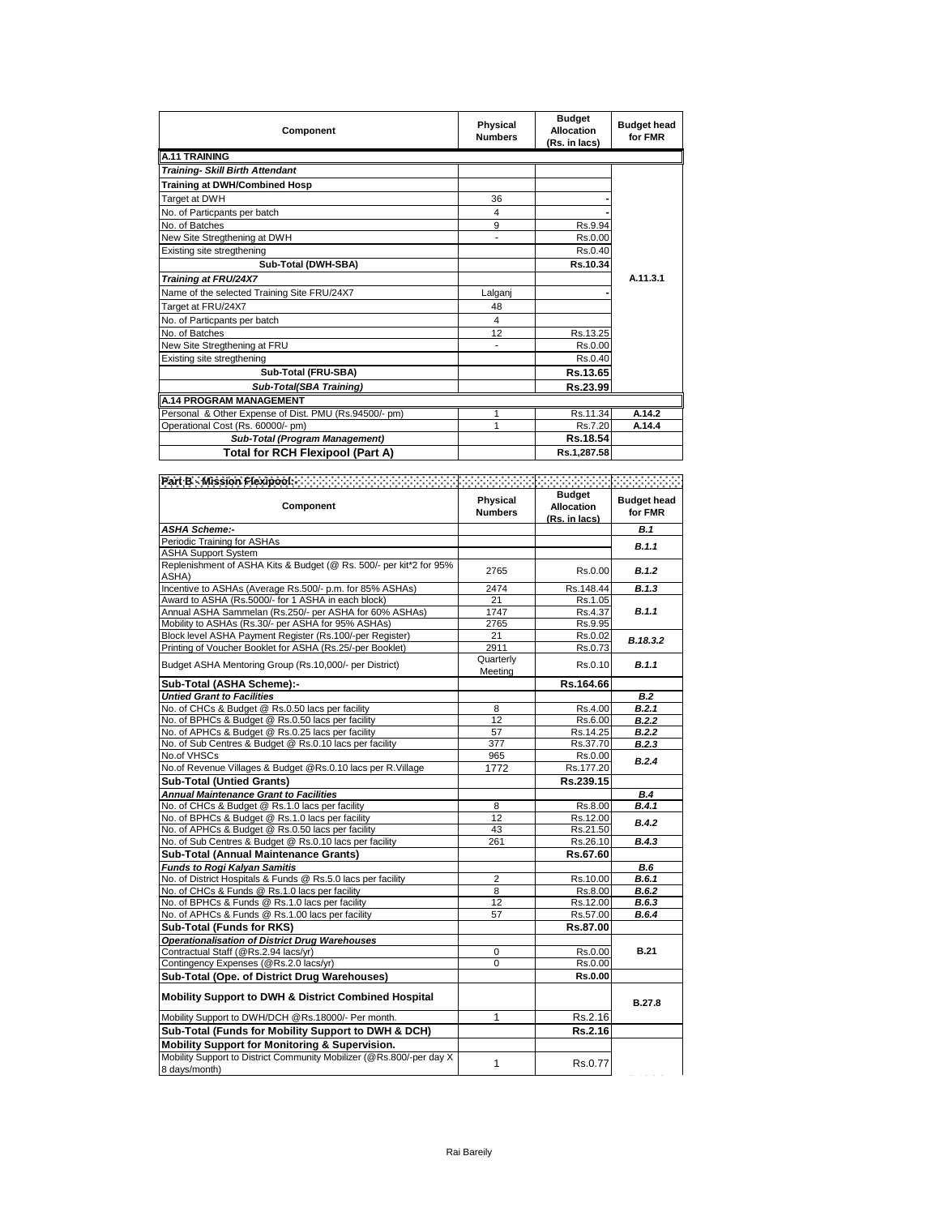| Component                                             | Physical<br><b>Numbers</b> | <b>Budget</b><br><b>Allocation</b><br>(Rs. in lacs) | <b>Budget head</b><br>for FMR |
|-------------------------------------------------------|----------------------------|-----------------------------------------------------|-------------------------------|
| <b>A.11 TRAINING</b>                                  |                            |                                                     |                               |
| <b>Training- Skill Birth Attendant</b>                |                            |                                                     |                               |
| Training at DWH/Combined Hosp                         |                            |                                                     |                               |
| Target at DWH                                         | 36                         |                                                     |                               |
| No. of Particpants per batch                          | 4                          |                                                     |                               |
| No. of Batches                                        | 9                          | Rs.9.94                                             |                               |
| New Site Stregthening at DWH                          | ٠                          | Rs.0.00                                             |                               |
| Existing site stregthening                            |                            | Rs.0.40                                             |                               |
| Sub-Total (DWH-SBA)                                   |                            | Rs.10.34                                            |                               |
| Training at FRU/24X7                                  |                            |                                                     | A.11.3.1                      |
| Name of the selected Training Site FRU/24X7           | Lalganj                    |                                                     |                               |
| Target at FRU/24X7                                    | 48                         |                                                     |                               |
| No. of Particpants per batch                          | 4                          |                                                     |                               |
| No. of Batches                                        | 12                         | Rs.13.25                                            |                               |
| New Site Stregthening at FRU                          |                            | Rs.0.00                                             |                               |
| Existing site stregthening                            |                            | Rs.0.40                                             |                               |
| Sub-Total (FRU-SBA)                                   |                            | Rs.13.65                                            |                               |
| Sub-Total(SBA Training)                               |                            | Rs.23.99                                            |                               |
| <b>A.14 PROGRAM MANAGEMENT</b>                        |                            |                                                     |                               |
| Personal & Other Expense of Dist. PMU (Rs.94500/- pm) | 1                          | Rs.11.34                                            | A.14.2                        |
| Operational Cost (Rs. 60000/- pm)                     | 1                          | Rs.7.20                                             | A.14.4                        |
| Sub-Total (Program Management)                        |                            | Rs.18.54                                            |                               |
| Total for RCH Flexipool (Part A)                      |                            | Rs.1,287.58                                         |                               |

| Part B - Mission Flexippolis (ANA) (ANA) (ANA) (ANA) (ANA) (ANA) (ANA) (ANA) (ANA) (ANA) |                            |                                                     | RAANANA                       |
|------------------------------------------------------------------------------------------|----------------------------|-----------------------------------------------------|-------------------------------|
| Component                                                                                | Physical<br><b>Numbers</b> | <b>Budget</b><br><b>Allocation</b><br>(Rs. in lacs) | <b>Budget head</b><br>for FMR |
| <b>ASHA Scheme:-</b>                                                                     |                            |                                                     | <b>B.1</b>                    |
| Periodic Training for ASHAs                                                              |                            |                                                     | <b>B.1.1</b>                  |
| <b>ASHA Support System</b>                                                               |                            |                                                     |                               |
| Replenishment of ASHA Kits & Budget (@ Rs. 500/- per kit*2 for 95%                       | 2765                       | Rs.0.00                                             | B.1.2                         |
| ASHA)                                                                                    |                            |                                                     |                               |
| Incentive to ASHAs (Average Rs.500/- p.m. for 85% ASHAs)                                 | 2474                       | Rs.148.44                                           | B.1.3                         |
| Award to ASHA (Rs.5000/- for 1 ASHA in each block)                                       | 21                         | Rs.1.05                                             |                               |
| Annual ASHA Sammelan (Rs.250/- per ASHA for 60% ASHAs)                                   | 1747                       | Rs.4.37                                             | B.1.1                         |
| Mobility to ASHAs (Rs.30/- per ASHA for 95% ASHAs)                                       | 2765                       | Rs.9.95                                             |                               |
| Block level ASHA Payment Register (Rs.100/-per Register)                                 | 21                         | Rs.0.02                                             | B.18.3.2                      |
| Printing of Voucher Booklet for ASHA (Rs.25/-per Booklet)                                | 2911                       | Rs.0.73                                             |                               |
| Budget ASHA Mentoring Group (Rs.10,000/- per District)                                   | Quarterly                  | Rs.0.10                                             | B.1.1                         |
|                                                                                          | Meeting                    |                                                     |                               |
| Sub-Total (ASHA Scheme):-                                                                |                            | Rs.164.66                                           |                               |
| <b>Untied Grant to Facilities</b>                                                        |                            |                                                     | <b>B.2</b>                    |
| No. of CHCs & Budget @ Rs.0.50 lacs per facility                                         | 8                          | Rs.4.00                                             | B.2.1                         |
| No. of BPHCs & Budget @ Rs.0.50 lacs per facility                                        | 12                         | Rs.6.00                                             | B.2.2                         |
| No. of APHCs & Budget @ Rs.0.25 lacs per facility                                        | 57                         | Rs.14.25                                            | B.2.2                         |
| No. of Sub Centres & Budget @ Rs.0.10 lacs per facility                                  | 377                        | Rs.37.70                                            | B.2.3                         |
| No.of VHSCs                                                                              | 965                        | Rs.0.00                                             | B.2.4                         |
| No.of Revenue Villages & Budget @Rs.0.10 lacs per R.Village                              | 1772                       | Rs.177.20                                           |                               |
| <b>Sub-Total (Untied Grants)</b>                                                         |                            | Rs.239.15                                           |                               |
| <b>Annual Maintenance Grant to Facilities</b>                                            |                            |                                                     | B.4                           |
| No. of CHCs & Budget @ Rs.1.0 lacs per facility                                          | 8                          | Rs.8.00                                             | <b>B.4.1</b>                  |
| No. of BPHCs & Budget @ Rs.1.0 lacs per facility                                         | 12                         | Rs.12.00                                            | B.4.2                         |
| No. of APHCs & Budget @ Rs.0.50 lacs per facility                                        | 43                         | Rs.21.50                                            |                               |
| No. of Sub Centres & Budget @ Rs.0.10 lacs per facility                                  | 261                        | Rs.26.10                                            | B.4.3                         |
| Sub-Total (Annual Maintenance Grants)                                                    |                            | Rs.67.60                                            |                               |
| <b>Funds to Rogi Kalyan Samitis</b>                                                      |                            |                                                     | B.6                           |
| No. of District Hospitals & Funds @ Rs.5.0 lacs per facility                             | $\overline{2}$             | Rs.10.00                                            | <b>B.6.1</b>                  |
| No. of CHCs & Funds @ Rs.1.0 lacs per facility                                           | 8                          | Rs.8.00                                             | <b>B.6.2</b>                  |
| No. of BPHCs & Funds @ Rs.1.0 lacs per facility                                          | 12                         | Rs.12.00                                            | B.6.3                         |
| No. of APHCs & Funds @ Rs.1.00 lacs per facility                                         | 57                         | Rs.57.00                                            | <b>B.6.4</b>                  |
| Sub-Total (Funds for RKS)                                                                |                            | Rs.87.00                                            |                               |
| <b>Operationalisation of District Drug Warehouses</b>                                    |                            |                                                     |                               |
| Contractual Staff (@Rs.2.94 lacs/yr)                                                     | 0                          | Rs.0.00                                             | <b>B.21</b>                   |
| Contingency Expenses (@Rs.2.0 lacs/yr)                                                   | 0                          | Rs.0.00                                             |                               |
| Sub-Total (Ope. of District Drug Warehouses)                                             |                            | <b>Rs.0.00</b>                                      |                               |
| <b>Mobility Support to DWH &amp; District Combined Hospital</b>                          |                            |                                                     | <b>B.27.8</b>                 |
| Mobility Support to DWH/DCH @Rs.18000/- Per month.                                       | 1                          | Rs.2.16                                             |                               |
| Sub-Total (Funds for Mobility Support to DWH & DCH)                                      |                            | Rs.2.16                                             |                               |
| Mobility Support for Monitoring & Supervision.                                           |                            |                                                     |                               |
| Mobility Support to District Community Mobilizer (@Rs.800/-per day X<br>8 days/month)    | 1                          | Rs.0.77                                             |                               |

**B.18.3.2**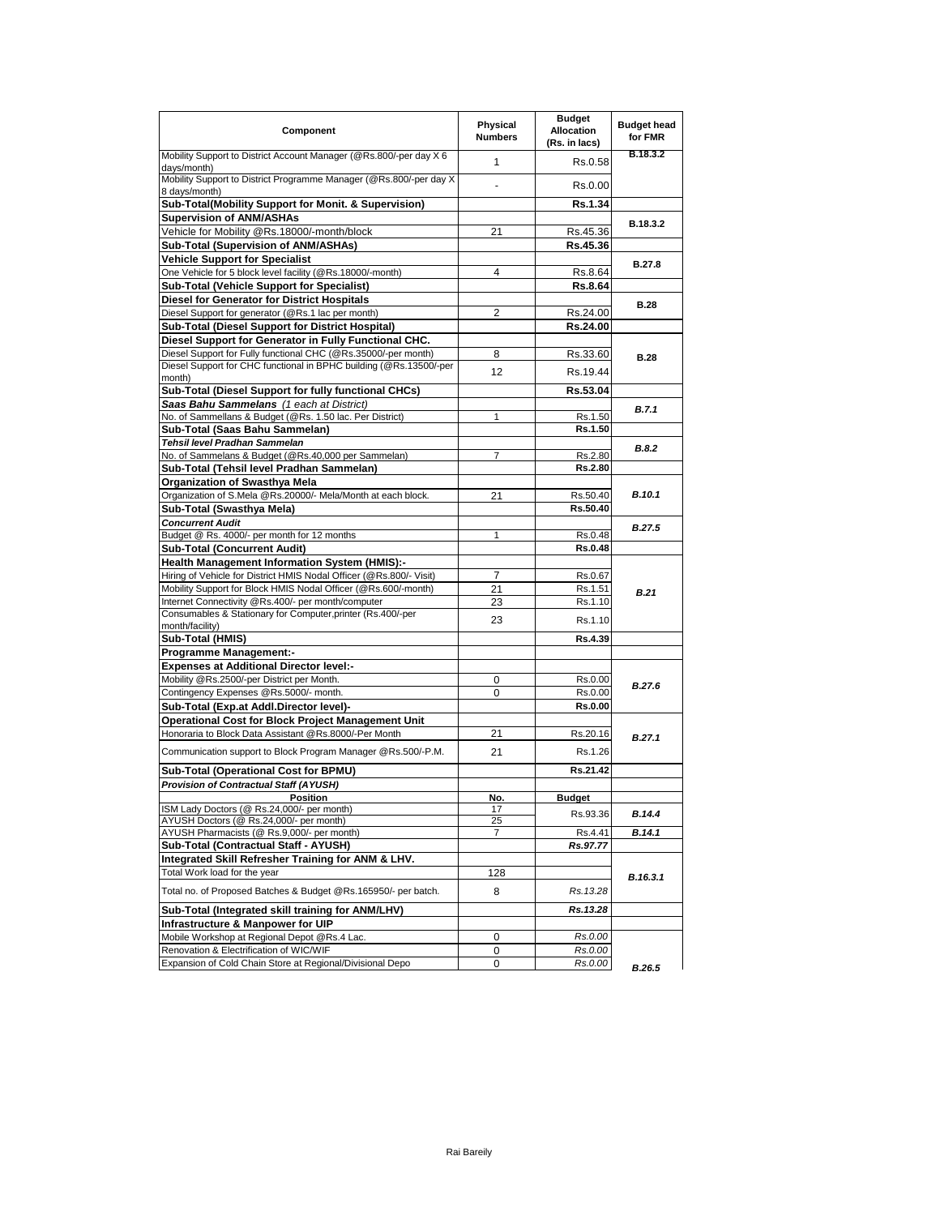| Component                                                                               | Physical<br><b>Numbers</b> | <b>Budget</b><br><b>Allocation</b><br>(Rs. in lacs) | <b>Budget head</b><br>for FMR |
|-----------------------------------------------------------------------------------------|----------------------------|-----------------------------------------------------|-------------------------------|
| Mobility Support to District Account Manager (@Rs.800/-per day X 6<br>days/month)       | $\mathbf{1}$               | Rs.0.58                                             | B.18.3.2                      |
| Mobility Support to District Programme Manager (@Rs.800/-per day X<br>8 days/month)     |                            | Rs.0.00                                             |                               |
| Sub-Total(Mobility Support for Monit. & Supervision)                                    |                            | Rs.1.34                                             |                               |
| <b>Supervision of ANM/ASHAs</b>                                                         |                            |                                                     | B.18.3.2                      |
| Vehicle for Mobility @Rs.18000/-month/block                                             | 21                         | Rs.45.36                                            |                               |
| Sub-Total (Supervision of ANM/ASHAs)                                                    |                            | Rs.45.36                                            |                               |
| <b>Vehicle Support for Specialist</b>                                                   |                            |                                                     | <b>B.27.8</b>                 |
| One Vehicle for 5 block level facility (@Rs.18000/-month)                               | 4                          | Rs.8.64                                             |                               |
| Sub-Total (Vehicle Support for Specialist)                                              |                            | Rs.8.64                                             |                               |
| Diesel for Generator for District Hospitals                                             |                            |                                                     | <b>B.28</b>                   |
| Diesel Support for generator (@Rs.1 lac per month)                                      | 2                          | Rs.24.00                                            |                               |
| Sub-Total (Diesel Support for District Hospital)                                        |                            | Rs.24.00                                            |                               |
| Diesel Support for Generator in Fully Functional CHC.                                   |                            |                                                     |                               |
| Diesel Support for Fully functional CHC (@Rs.35000/-per month)                          | 8                          | Rs.33.60                                            | <b>B.28</b>                   |
| Diesel Support for CHC functional in BPHC building (@Rs.13500/-per                      | 12                         | Rs.19.44                                            |                               |
| month)                                                                                  |                            |                                                     |                               |
| Sub-Total (Diesel Support for fully functional CHCs)                                    |                            | Rs.53.04                                            |                               |
| Saas Bahu Sammelans (1 each at District)                                                |                            |                                                     | B.7.1                         |
| No. of Sammellans & Budget (@Rs. 1.50 lac. Per District)                                | 1                          | Rs.1.50                                             |                               |
| Sub-Total (Saas Bahu Sammelan)                                                          |                            | Rs.1.50                                             |                               |
| Tehsil level Pradhan Sammelan<br>No. of Sammelans & Budget (@Rs.40,000 per Sammelan)    | $\overline{7}$             | Rs.2.80                                             | B.8.2                         |
| Sub-Total (Tehsil level Pradhan Sammelan)                                               |                            | Rs.2.80                                             |                               |
| Organization of Swasthya Mela                                                           |                            |                                                     |                               |
| Organization of S.Mela @Rs.20000/- Mela/Month at each block.                            | 21                         | Rs.50.40                                            | <b>B.10.1</b>                 |
| Sub-Total (Swasthya Mela)                                                               |                            | Rs.50.40                                            |                               |
| <b>Concurrent Audit</b>                                                                 |                            |                                                     |                               |
| Budget @ Rs. 4000/- per month for 12 months                                             | 1                          | Rs.0.48                                             | <b>B.27.5</b>                 |
| Sub-Total (Concurrent Audit)                                                            |                            | Rs.0.48                                             |                               |
| <b>Health Management Information System (HMIS):-</b>                                    |                            |                                                     |                               |
| Hiring of Vehicle for District HMIS Nodal Officer (@Rs.800/- Visit)                     | $\overline{7}$             | Rs.0.67                                             |                               |
| Mobility Support for Block HMIS Nodal Officer (@Rs.600/-month)                          | 21                         | Rs.1.51                                             | <b>B.21</b>                   |
| Internet Connectivity @Rs.400/- per month/computer                                      | 23                         | Rs.1.10                                             |                               |
| Consumables & Stationary for Computer, printer (Rs.400/-per                             |                            |                                                     |                               |
| month/facility)                                                                         | 23                         | Rs.1.10                                             |                               |
| Sub-Total (HMIS)                                                                        |                            | Rs.4.39                                             |                               |
| <b>Programme Management:-</b>                                                           |                            |                                                     |                               |
| <b>Expenses at Additional Director level:-</b>                                          |                            |                                                     |                               |
| Mobility @Rs.2500/-per District per Month.                                              | 0                          | Rs.0.00                                             | B.27.6                        |
| Contingency Expenses @Rs.5000/- month.                                                  | 0                          | Rs.0.00                                             |                               |
| Sub-Total (Exp.at Addl.Director level)-                                                 |                            | <b>Rs.0.00</b>                                      |                               |
| Operational Cost for Block Project Management Unit                                      |                            |                                                     |                               |
| Honoraria to Block Data Assistant @Rs.8000/-Per Month                                   | 21                         | Rs.20.16                                            | B.27.1                        |
| Communication support to Block Program Manager @Rs.500/-P.M.                            | 21                         | Rs.1.26                                             |                               |
| Sub-Total (Operational Cost for BPMU)                                                   |                            | Rs.21.42                                            |                               |
| <b>Provision of Contractual Staff (AYUSH)</b>                                           |                            |                                                     |                               |
| POSItion                                                                                | NO.                        | <b>Budget</b>                                       |                               |
| ISM Lady Doctors (@ Rs.24,000/- per month)                                              | 17                         | Rs.93.36                                            | B.14.4                        |
| AYUSH Doctors (@ Rs.24,000/- per month)<br>AYUSH Pharmacists (@ Rs.9,000/- per month)   | 25<br>7                    | Rs.4.41                                             | B.14.1                        |
| Sub-Total (Contractual Staff - AYUSH)                                                   |                            | Rs.97.77                                            |                               |
| Integrated Skill Refresher Training for ANM & LHV.                                      |                            |                                                     |                               |
| Total Work load for the year                                                            | 128                        |                                                     |                               |
| Total no. of Proposed Batches & Budget @Rs.165950/- per batch.                          | 8                          | Rs.13.28                                            | B.16.3.1                      |
|                                                                                         |                            |                                                     |                               |
| Sub-Total (Integrated skill training for ANM/LHV)                                       |                            | Rs.13.28                                            |                               |
| Infrastructure & Manpower for UIP                                                       |                            |                                                     |                               |
| Mobile Workshop at Regional Depot @Rs.4 Lac.<br>Renovation & Electrification of WIC/WIF | 0                          | Rs.0.00                                             |                               |
|                                                                                         | 0                          | Rs.0.00                                             |                               |
| Expansion of Cold Chain Store at Regional/Divisional Depo                               | 0                          | Rs.0.00                                             | B.26.5                        |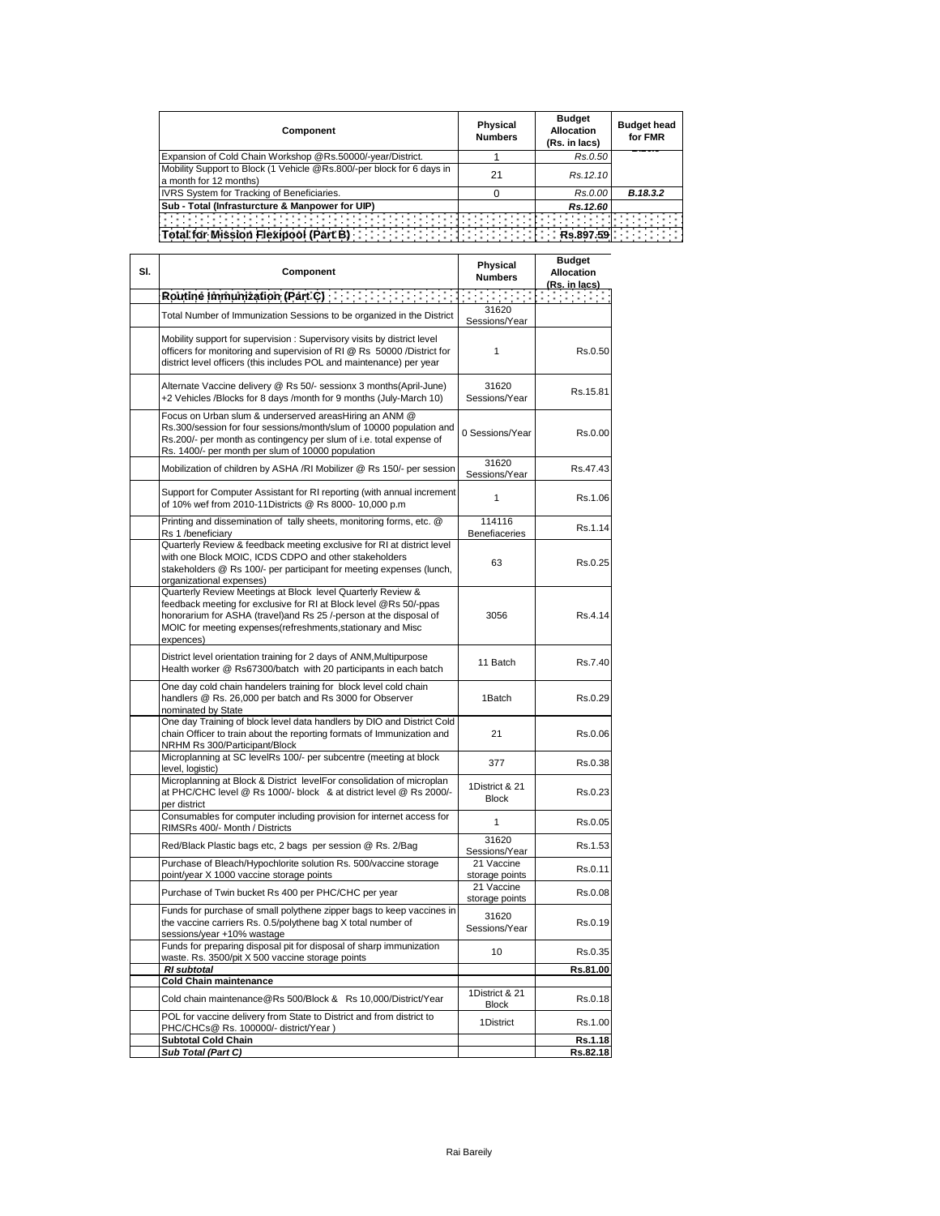| Component                                                                                       | Physical<br><b>Numbers</b> | <b>Budget</b><br>Allocation<br>(Rs. in lacs) | <b>Budget head</b><br>for FMR |
|-------------------------------------------------------------------------------------------------|----------------------------|----------------------------------------------|-------------------------------|
| Expansion of Cold Chain Workshop @Rs.50000/-year/District.                                      |                            | Rs.0.50                                      |                               |
| Mobility Support to Block (1 Vehicle @Rs.800/-per block for 6 days in<br>a month for 12 months) | 21                         | Rs. 12.10                                    |                               |
| <b>IVRS System for Tracking of Beneficiaries.</b>                                               |                            | Rs.0.00                                      | B.18.3.2                      |
| Sub - Total (Infrasturcture & Manpower for UIP)                                                 |                            | Rs.12.60                                     |                               |
| <b>Total for Mission Flexipool (Part B)</b>                                                     |                            | Rs.897.59                                    |                               |

| SI. | Physical<br>Component<br><b>Numbers</b>                                                                                                                                                                                                                                            |                                | <b>Budget</b><br><b>Allocation</b><br>(Rs. in lacs) |
|-----|------------------------------------------------------------------------------------------------------------------------------------------------------------------------------------------------------------------------------------------------------------------------------------|--------------------------------|-----------------------------------------------------|
|     |                                                                                                                                                                                                                                                                                    |                                | Thermore                                            |
|     | Total Number of Immunization Sessions to be organized in the District                                                                                                                                                                                                              | 31620<br>Sessions/Year         |                                                     |
|     | Mobility support for supervision : Supervisory visits by district level<br>officers for monitoring and supervision of RI @ Rs 50000 /District for<br>district level officers (this includes POL and maintenance) per year                                                          | 1                              | Rs.0.50                                             |
|     | Alternate Vaccine delivery @ Rs 50/- sessionx 3 months(April-June)<br>+2 Vehicles /Blocks for 8 days /month for 9 months (July-March 10)                                                                                                                                           | 31620<br>Sessions/Year         | Rs.15.81                                            |
|     | Focus on Urban slum & underserved areasHiring an ANM @<br>Rs.300/session for four sessions/month/slum of 10000 population and<br>Rs.200/- per month as contingency per slum of i.e. total expense of<br>Rs. 1400/- per month per slum of 10000 population                          | 0 Sessions/Year                | Rs.0.00                                             |
|     | Mobilization of children by ASHA /RI Mobilizer @ Rs 150/- per session                                                                                                                                                                                                              | 31620<br>Sessions/Year         | Rs.47.43                                            |
|     | Support for Computer Assistant for RI reporting (with annual increment<br>of 10% wef from 2010-11Districts @ Rs 8000- 10,000 p.m                                                                                                                                                   | $\mathbf{1}$                   | Rs.1.06                                             |
|     | Printing and dissemination of tally sheets, monitoring forms, etc. @<br>Rs 1 /beneficiary                                                                                                                                                                                          | 114116<br>Benefiaceries        | Rs.1.14                                             |
|     | Quarterly Review & feedback meeting exclusive for RI at district level<br>with one Block MOIC, ICDS CDPO and other stakeholders<br>stakeholders @ Rs 100/- per participant for meeting expenses (lunch,<br>organizational expenses)                                                | 63                             | Rs.0.25                                             |
|     | Quarterly Review Meetings at Block level Quarterly Review &<br>feedback meeting for exclusive for RI at Block level @Rs 50/-ppas<br>honorarium for ASHA (travel) and Rs 25 /-person at the disposal of<br>MOIC for meeting expenses(refreshments, stationary and Misc<br>expences) | 3056                           | Rs.4.14                                             |
|     | District level orientation training for 2 days of ANM, Multipurpose<br>Health worker @ Rs67300/batch with 20 participants in each batch                                                                                                                                            | 11 Batch                       | Rs.7.40                                             |
|     | One day cold chain handelers training for block level cold chain<br>handlers @ Rs. 26,000 per batch and Rs 3000 for Observer<br>nominated by State                                                                                                                                 | 1Batch                         | Rs.0.29                                             |
|     | One day Training of block level data handlers by DIO and District Cold<br>chain Officer to train about the reporting formats of Immunization and<br>NRHM Rs 300/Participant/Block                                                                                                  | 21                             | Rs.0.06                                             |
|     | Microplanning at SC levelRs 100/- per subcentre (meeting at block<br>level, logistic)                                                                                                                                                                                              | 377                            | Rs.0.38                                             |
|     | Microplanning at Block & District levelFor consolidation of microplan<br>at PHC/CHC level @ Rs 1000/- block & at district level @ Rs 2000/-<br>per district                                                                                                                        | 1District & 21<br><b>Block</b> | Rs.0.23                                             |
|     | Consumables for computer including provision for internet access for<br>RIMSRs 400/- Month / Districts                                                                                                                                                                             | 1                              | Rs.0.05                                             |
|     | Red/Black Plastic bags etc, 2 bags per session @ Rs. 2/Bag                                                                                                                                                                                                                         | 31620<br>Sessions/Year         | Rs.1.53                                             |
|     | Purchase of Bleach/Hypochlorite solution Rs. 500/vaccine storage<br>point/year X 1000 vaccine storage points                                                                                                                                                                       | 21 Vaccine<br>storage points   | Rs.0.11                                             |
|     | Purchase of Twin bucket Rs 400 per PHC/CHC per year                                                                                                                                                                                                                                | 21 Vaccine<br>storage points   | Rs.0.08                                             |
|     | Funds for purchase of small polythene zipper bags to keep vaccines in<br>the vaccine carriers Rs. 0.5/polythene bag X total number of<br>sessions/year +10% wastage                                                                                                                | 31620<br>Sessions/Year         | Rs.0.19                                             |
|     | Funds for preparing disposal pit for disposal of sharp immunization<br>waste. Rs. 3500/pit X 500 vaccine storage points                                                                                                                                                            | 10                             | Rs.0.35                                             |
|     | <b>RI</b> subtotal                                                                                                                                                                                                                                                                 |                                | Rs.81.00                                            |
|     | <b>Cold Chain maintenance</b>                                                                                                                                                                                                                                                      |                                |                                                     |
|     | Cold chain maintenance@Rs 500/Block & Rs 10,000/District/Year<br>POL for vaccine delivery from State to District and from district to                                                                                                                                              | 1District & 21<br><b>Block</b> | Rs.0.18                                             |
|     | PHC/CHCs@ Rs. 100000/- district/Year)<br>Subtotal Cold Chain                                                                                                                                                                                                                       | 1District                      | Rs.1.00<br>Rs.1.18                                  |
|     | Sub Total (Part C)                                                                                                                                                                                                                                                                 |                                | Rs.82.18                                            |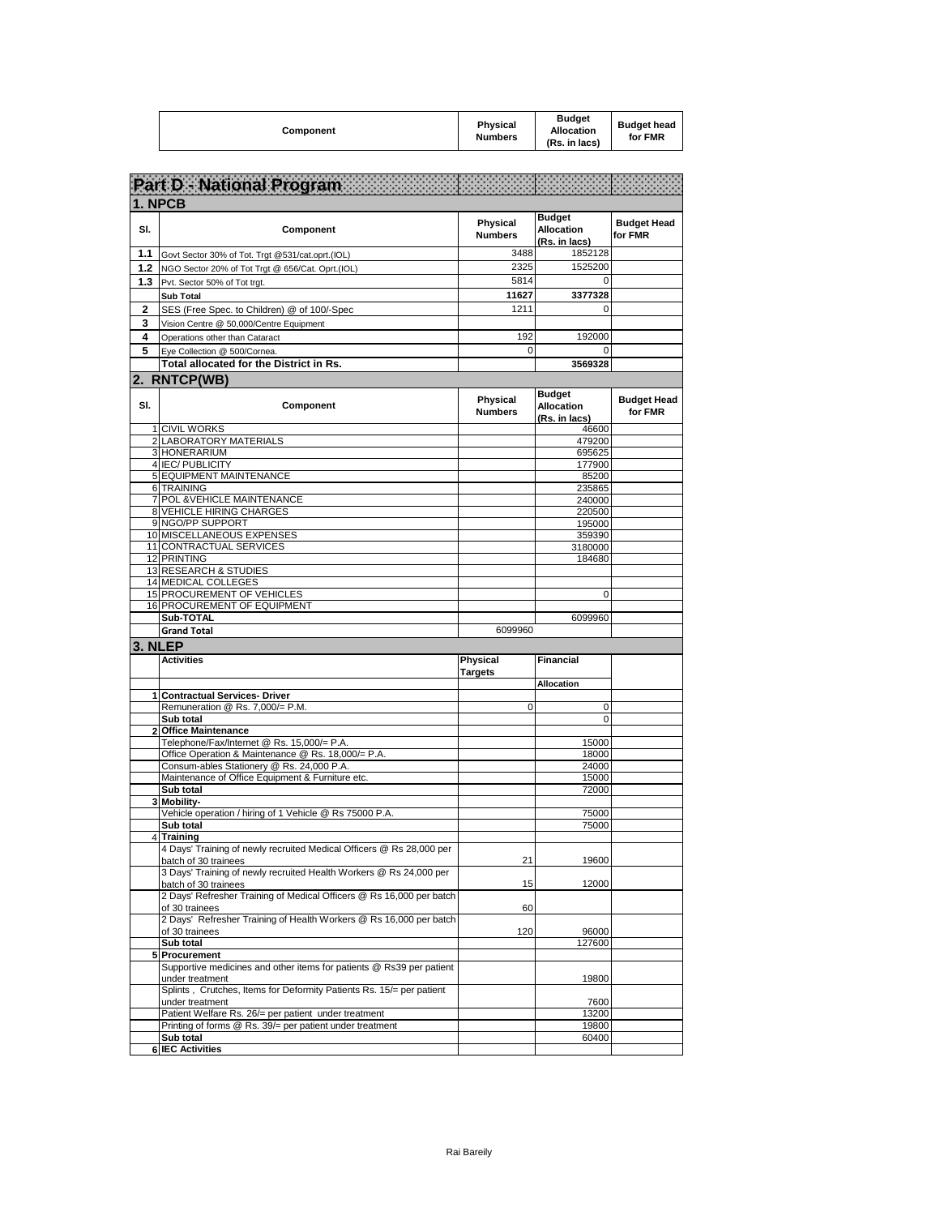| Component | <b>Physical</b><br><b>Numbers</b> | <b>Budget</b><br><b>Allocation</b><br>(Rs. in lacs) | <b>Budget head</b><br>for FMR |
|-----------|-----------------------------------|-----------------------------------------------------|-------------------------------|
|-----------|-----------------------------------|-----------------------------------------------------|-------------------------------|

|             | Part D - National Program                                                                                                                                          |                            |                                                     |                               |
|-------------|--------------------------------------------------------------------------------------------------------------------------------------------------------------------|----------------------------|-----------------------------------------------------|-------------------------------|
|             | 1. NPCB                                                                                                                                                            |                            |                                                     |                               |
| SI.         | Component                                                                                                                                                          | Physical<br><b>Numbers</b> | <b>Budget</b><br>Allocation<br>(Rs. in lacs)        | <b>Budget Head</b><br>for FMR |
| 1.1         | Govt Sector 30% of Tot. Trgt @531/cat.oprt.(IOL)                                                                                                                   | 3488                       | 1852128                                             |                               |
| 1.2         | NGO Sector 20% of Tot Trgt @ 656/Cat. Oprt.(IOL)                                                                                                                   | 2325                       | 1525200                                             |                               |
| 1.3         | Pvt. Sector 50% of Tot trgt.                                                                                                                                       | 5814                       | $\mathbf 0$                                         |                               |
|             | <b>Sub Total</b>                                                                                                                                                   | 11627                      | 3377328                                             |                               |
| $\mathbf 2$ | SES (Free Spec. to Children) @ of 100/-Spec                                                                                                                        | 1211                       | $\mathbf 0$                                         |                               |
| 3           | Vision Centre @ 50,000/Centre Equipment                                                                                                                            |                            |                                                     |                               |
| 4           | Operations other than Cataract                                                                                                                                     | 192                        | 192000                                              |                               |
| 5           | Eye Collection @ 500/Cornea.                                                                                                                                       | 0                          | $\Omega$                                            |                               |
|             | Total allocated for the District in Rs.                                                                                                                            |                            | 3569328                                             |                               |
|             | 2. RNTCP(WB)                                                                                                                                                       |                            |                                                     |                               |
| SI.         | Component                                                                                                                                                          | Physical<br><b>Numbers</b> | <b>Budget</b><br><b>Allocation</b><br>(Rs. in lacs) | <b>Budget Head</b><br>for FMR |
|             | 1 CIVIL WORKS                                                                                                                                                      |                            | 46600                                               |                               |
|             | 2 LABORATORY MATERIALS<br>3 HONERARIUM                                                                                                                             |                            | 479200<br>695625                                    |                               |
|             | 4 IEC/ PUBLICITY                                                                                                                                                   |                            | 177900                                              |                               |
|             | 5 EQUIPMENT MAINTENANCE                                                                                                                                            |                            | 85200                                               |                               |
|             | 6 TRAINING                                                                                                                                                         |                            | 235865                                              |                               |
|             | 7 POL & VEHICLE MAINTENANCE                                                                                                                                        |                            | 240000                                              |                               |
|             | 8 VEHICLE HIRING CHARGES<br>9 NGO/PP SUPPORT                                                                                                                       |                            | 220500<br>195000                                    |                               |
|             | 10 MISCELLANEOUS EXPENSES                                                                                                                                          |                            | 359390                                              |                               |
|             | 11 CONTRACTUAL SERVICES                                                                                                                                            |                            | 3180000                                             |                               |
|             | 12 PRINTING                                                                                                                                                        |                            | 184680                                              |                               |
|             | 13 RESEARCH & STUDIES<br><b>14 MEDICAL COLLEGES</b>                                                                                                                |                            |                                                     |                               |
|             | 15 PROCUREMENT OF VEHICLES                                                                                                                                         |                            | $\mathbf 0$                                         |                               |
|             | 16 PROCUREMENT OF EQUIPMENT                                                                                                                                        |                            |                                                     |                               |
|             | Sub-TOTAL                                                                                                                                                          |                            | 6099960                                             |                               |
|             | <b>Grand Total</b>                                                                                                                                                 | 6099960                    |                                                     |                               |
| 3. NLEP     |                                                                                                                                                                    |                            |                                                     |                               |
|             | <b>Activities</b>                                                                                                                                                  | Physical<br><b>Targets</b> | Financial<br><b>Allocation</b>                      |                               |
|             | 1 Contractual Services- Driver                                                                                                                                     |                            |                                                     |                               |
|             | Remuneration @ Rs. 7,000/= P.M.                                                                                                                                    | 0                          | 0                                                   |                               |
|             | Sub total                                                                                                                                                          |                            | $\mathbf 0$                                         |                               |
|             | 2 Office Maintenance                                                                                                                                               |                            |                                                     |                               |
|             | Telephone/Fax/Internet @ Rs. 15,000/= P.A.<br>Office Operation & Maintenance @ Rs. 18,000/= P.A.                                                                   |                            | 15000<br>18000                                      |                               |
|             | Consum-ables Stationery @ Rs. 24,000 P.A.                                                                                                                          |                            | 24000                                               |                               |
|             | Maintenance of Office Equipment & Furniture etc.                                                                                                                   |                            | 15000                                               |                               |
|             | Sub total                                                                                                                                                          |                            | 72000                                               |                               |
| 3           | <b>Mobility-</b><br>Vehicle operation / hiring of 1 Vehicle @ Rs 75000 P.A.                                                                                        |                            |                                                     |                               |
|             | Sub total                                                                                                                                                          |                            | 75000<br>75000                                      |                               |
|             | 4 Training                                                                                                                                                         |                            |                                                     |                               |
|             | 4 Days' Training of newly recruited Medical Officers @ Rs 28,000 per<br>batch of 30 trainees                                                                       | 21                         | 19600                                               |                               |
|             | 3 Days' Training of newly recruited Health Workers @ Rs 24,000 per<br>batch of 30 trainees<br>2 Days' Refresher Training of Medical Officers @ Rs 16,000 per batch | 15                         | 12000                                               |                               |
|             | of 30 trainees<br>2 Days' Refresher Training of Health Workers @ Rs 16,000 per batch                                                                               | 60                         |                                                     |                               |
|             | of 30 trainees<br>Sub total                                                                                                                                        | 120                        | 96000<br>127600                                     |                               |
|             | 5 Procurement                                                                                                                                                      |                            |                                                     |                               |
|             | Supportive medicines and other items for patients @ Rs39 per patient<br>under treatment                                                                            |                            | 19800                                               |                               |
|             | Splints, Crutches, Items for Deformity Patients Rs. 15/= per patient<br>under treatment                                                                            |                            | 7600<br>13200                                       |                               |
|             | Patient Welfare Rs. 26/= per patient under treatment<br>Printing of forms @ Rs. 39/= per patient under treatment                                                   |                            | 19800                                               |                               |
|             | Sub total                                                                                                                                                          |                            | 60400                                               |                               |
|             | <b>6 IEC Activities</b>                                                                                                                                            |                            |                                                     |                               |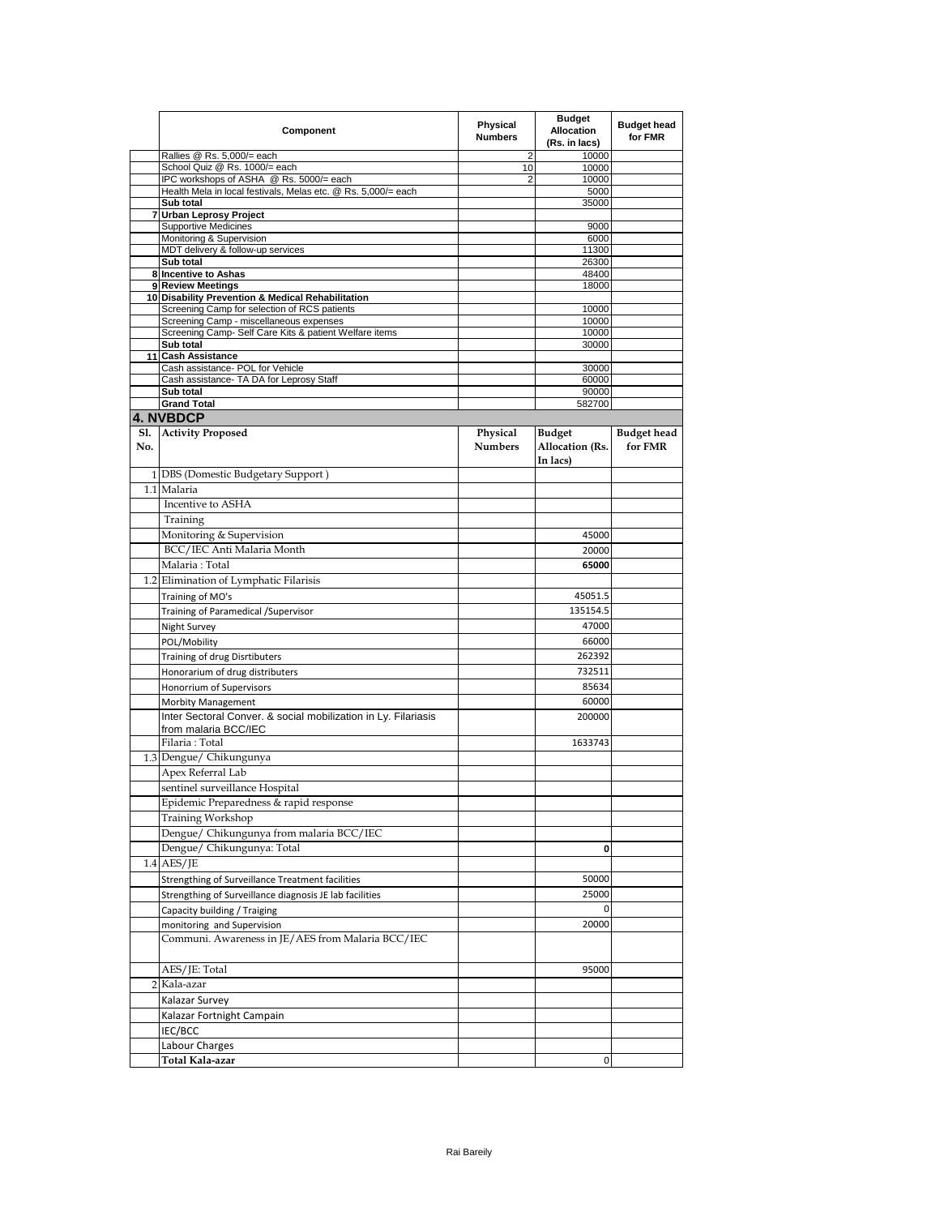|            | Component                                                                                                | Physical<br><b>Numbers</b> | <b>Budget</b><br><b>Allocation</b><br>(Rs. in lacs) | <b>Budget head</b><br>for FMR |
|------------|----------------------------------------------------------------------------------------------------------|----------------------------|-----------------------------------------------------|-------------------------------|
|            | Rallies @ Rs. 5,000/= each                                                                               | 2                          | 10000                                               |                               |
|            | School Quiz @ Rs. 1000/= each                                                                            | 10                         | 10000                                               |                               |
|            | IPC workshops of ASHA @ Rs. 5000/= each<br>Health Mela in local festivals, Melas etc. @ Rs. 5,000/= each | 2                          | 10000<br>5000                                       |                               |
|            | Sub total                                                                                                |                            | 35000                                               |                               |
|            | 7 Urban Leprosy Project                                                                                  |                            |                                                     |                               |
|            | <b>Supportive Medicines</b>                                                                              |                            | 9000                                                |                               |
|            | Monitoring & Supervision                                                                                 |                            | 6000                                                |                               |
|            | MDT delivery & follow-up services<br>Sub total                                                           |                            | 11300                                               |                               |
|            | 8 Incentive to Ashas                                                                                     |                            | 26300<br>48400                                      |                               |
|            | 9 Review Meetings                                                                                        |                            | 18000                                               |                               |
|            | 10 Disability Prevention & Medical Rehabilitation                                                        |                            |                                                     |                               |
|            | Screening Camp for selection of RCS patients                                                             |                            | 10000                                               |                               |
|            | Screening Camp - miscellaneous expenses                                                                  |                            | 10000                                               |                               |
|            | Screening Camp- Self Care Kits & patient Welfare items<br>Sub total                                      |                            | 10000<br>30000                                      |                               |
|            | 11 Cash Assistance                                                                                       |                            |                                                     |                               |
|            | Cash assistance- POL for Vehicle                                                                         |                            | 30000                                               |                               |
|            | Cash assistance- TA DA for Leprosy Staff                                                                 |                            | 60000                                               |                               |
|            | Sub total                                                                                                |                            | 90000                                               |                               |
|            | <b>Grand Total</b>                                                                                       |                            | 582700                                              |                               |
|            | <b>4. NVBDCP</b>                                                                                         |                            |                                                     |                               |
| S1.<br>No. | <b>Activity Proposed</b>                                                                                 | Physical<br><b>Numbers</b> | <b>Budget</b><br>Allocation (Rs.<br>In lacs)        | <b>Budget head</b><br>for FMR |
|            | 1 DBS (Domestic Budgetary Support)                                                                       |                            |                                                     |                               |
|            | 1.1 Malaria                                                                                              |                            |                                                     |                               |
|            | Incentive to ASHA                                                                                        |                            |                                                     |                               |
|            | Training                                                                                                 |                            |                                                     |                               |
|            | Monitoring & Supervision                                                                                 |                            | 45000                                               |                               |
|            | BCC/IEC Anti Malaria Month                                                                               |                            | 20000                                               |                               |
|            | Malaria: Total                                                                                           |                            | 65000                                               |                               |
|            | 1.2 Elimination of Lymphatic Filarisis                                                                   |                            |                                                     |                               |
|            | Training of MO's                                                                                         |                            | 45051.5                                             |                               |
|            | Training of Paramedical / Supervisor                                                                     |                            | 135154.5                                            |                               |
|            | Night Survey                                                                                             |                            | 47000                                               |                               |
|            | POL/Mobility                                                                                             |                            | 66000                                               |                               |
|            |                                                                                                          |                            | 262392                                              |                               |
|            | Training of drug Disrtibuters                                                                            |                            |                                                     |                               |
|            | Honorarium of drug distributers                                                                          |                            | 732511                                              |                               |
|            | Honorrium of Supervisors                                                                                 |                            | 85634                                               |                               |
|            | Morbity Management                                                                                       |                            | 60000                                               |                               |
|            | Inter Sectoral Conver. & social mobilization in Ly. Filariasis<br>from malaria BCC/IEC                   |                            | 200000                                              |                               |
|            | Filaria: Total                                                                                           |                            | 1633743                                             |                               |
|            | 1.3 Dengue/ Chikungunya                                                                                  |                            |                                                     |                               |
|            | Apex Referral Lab                                                                                        |                            |                                                     |                               |
|            | sentinel surveillance Hospital                                                                           |                            |                                                     |                               |
|            | Epidemic Preparedness & rapid response                                                                   |                            |                                                     |                               |
|            | <b>Training Workshop</b>                                                                                 |                            |                                                     |                               |
|            | Dengue/ Chikungunya from malaria BCC/IEC                                                                 |                            |                                                     |                               |
|            | Dengue/ Chikungunya: Total                                                                               |                            | 0                                                   |                               |
|            | $1.4$ AES/JE                                                                                             |                            |                                                     |                               |
|            | Strengthing of Surveillance Treatment facilities                                                         |                            | 50000                                               |                               |
|            | Strengthing of Surveillance diagnosis JE lab facilities                                                  |                            | 25000                                               |                               |
|            | Capacity building / Traiging                                                                             |                            | $\mathbf 0$                                         |                               |
|            | monitoring and Supervision                                                                               |                            | 20000                                               |                               |
|            | Communi. Awareness in JE/AES from Malaria BCC/IEC                                                        |                            |                                                     |                               |
|            | AES/JE: Total                                                                                            |                            | 95000                                               |                               |
|            | 2 Kala-azar                                                                                              |                            |                                                     |                               |
|            | Kalazar Survey                                                                                           |                            |                                                     |                               |
|            | Kalazar Fortnight Campain                                                                                |                            |                                                     |                               |
|            | IEC/BCC                                                                                                  |                            |                                                     |                               |
|            | Labour Charges                                                                                           |                            |                                                     |                               |
|            | Total Kala-azar                                                                                          |                            | 0                                                   |                               |